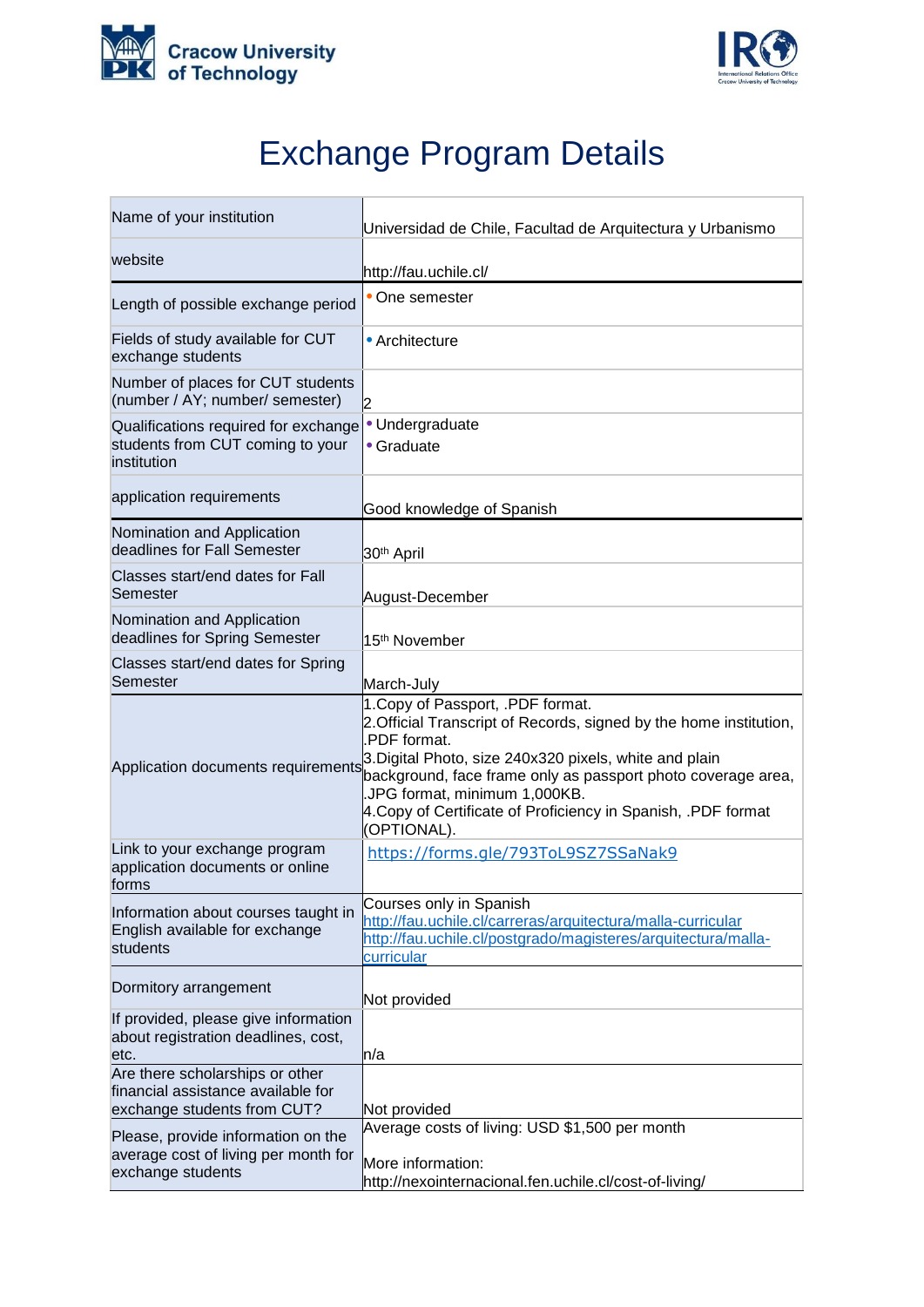



## Exchange Program Details

| Name of your institution                                                                             | Universidad de Chile, Facultad de Arquitectura y Urbanismo                                                                                                                                                                                                                                                                                                       |
|------------------------------------------------------------------------------------------------------|------------------------------------------------------------------------------------------------------------------------------------------------------------------------------------------------------------------------------------------------------------------------------------------------------------------------------------------------------------------|
| website                                                                                              | http://fau.uchile.cl/                                                                                                                                                                                                                                                                                                                                            |
| Length of possible exchange period                                                                   | • One semester                                                                                                                                                                                                                                                                                                                                                   |
| Fields of study available for CUT<br>exchange students                                               | • Architecture                                                                                                                                                                                                                                                                                                                                                   |
| Number of places for CUT students<br>(number / AY; number/ semester)                                 | 12                                                                                                                                                                                                                                                                                                                                                               |
| Qualifications required for exchange<br>students from CUT coming to your<br>institution              | • Undergraduate<br>• Graduate                                                                                                                                                                                                                                                                                                                                    |
| application requirements                                                                             | Good knowledge of Spanish                                                                                                                                                                                                                                                                                                                                        |
| Nomination and Application<br>deadlines for Fall Semester                                            | 30 <sup>th</sup> April                                                                                                                                                                                                                                                                                                                                           |
| Classes start/end dates for Fall<br>Semester                                                         | August-December                                                                                                                                                                                                                                                                                                                                                  |
| Nomination and Application<br>deadlines for Spring Semester                                          | 15 <sup>th</sup> November                                                                                                                                                                                                                                                                                                                                        |
| Classes start/end dates for Spring<br>Semester                                                       | March-July                                                                                                                                                                                                                                                                                                                                                       |
| Application documents requirements                                                                   | 1. Copy of Passport, .PDF format.<br>2. Official Transcript of Records, signed by the home institution,<br>PDF format.<br>3. Digital Photo, size 240x320 pixels, white and plain<br>background, face frame only as passport photo coverage area,<br>JPG format, minimum 1,000KB.<br>4. Copy of Certificate of Proficiency in Spanish, .PDF format<br>(OPTIONAL). |
| Link to your exchange program<br>application documents or online<br>forms                            | https://forms.gle/793ToL9SZ7SSaNak9                                                                                                                                                                                                                                                                                                                              |
| Information about courses taught in<br>English available for exchange<br>students                    | Courses only in Spanish<br>http://fau.uchile.cl/carreras/arquitectura/malla-curricular<br>http://fau.uchile.cl/postgrado/magisteres/arquitectura/malla-<br>curricular                                                                                                                                                                                            |
| Dormitory arrangement                                                                                | Not provided                                                                                                                                                                                                                                                                                                                                                     |
| If provided, please give information<br>about registration deadlines, cost,<br>etc.                  | h/a                                                                                                                                                                                                                                                                                                                                                              |
| Are there scholarships or other<br>financial assistance available for<br>exchange students from CUT? | Not provided                                                                                                                                                                                                                                                                                                                                                     |
| Please, provide information on the<br>average cost of living per month for<br>exchange students      | Average costs of living: USD \$1,500 per month<br>More information:<br>http://nexointernacional.fen.uchile.cl/cost-of-living/                                                                                                                                                                                                                                    |